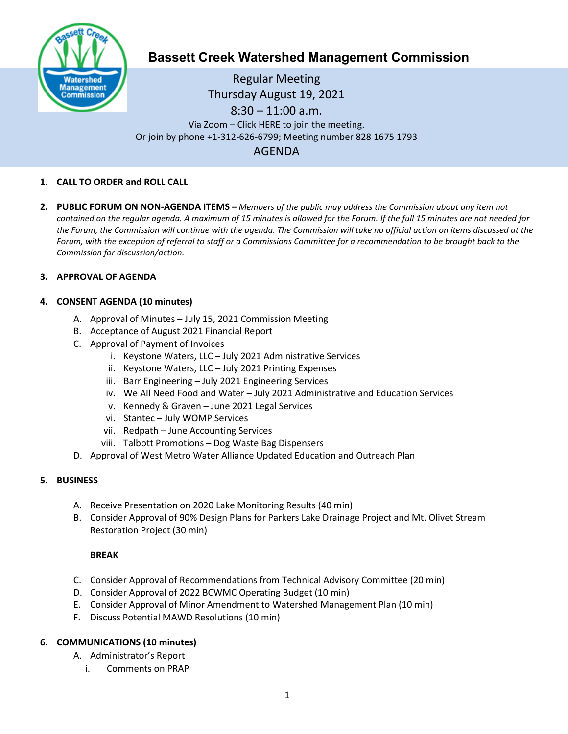

# **Bassett Creek Watershed Management Commission**

Regular Meeting Thursday August 19, 2021 8:30 – 11:00 a.m. Via Zoom – Click HERE to join the meeting. Or join by phone +1-312-626-6799; Meeting number 828 1675 1793 AGENDA

#### **1. CALL TO ORDER and ROLL CALL**

**2. PUBLIC FORUM ON NON-AGENDA ITEMS –** *Members of the public may address the Commission about any item not contained on the regular agenda. A maximum of 15 minutes is allowed for the Forum. If the full 15 minutes are not needed for the Forum, the Commission will continue with the agenda. The Commission will take no official action on items discussed at the Forum, with the exception of referral to staff or a Commissions Committee for a recommendation to be brought back to the Commission for discussion/action.*

#### **3. APPROVAL OF AGENDA**

### **4. CONSENT AGENDA (10 minutes)**

- A. Approval of Minutes July 15, 2021 Commission Meeting
- B. Acceptance of August 2021 Financial Report
- C. Approval of Payment of Invoices
	- i. Keystone Waters, LLC July 2021 Administrative Services
	- ii. Keystone Waters, LLC July 2021 Printing Expenses
	- iii. Barr Engineering July 2021 Engineering Services
	- iv. We All Need Food and Water July 2021 Administrative and Education Services
	- v. Kennedy & Graven June 2021 Legal Services
	- vi. Stantec July WOMP Services
	- vii. Redpath June Accounting Services
	- viii. Talbott Promotions Dog Waste Bag Dispensers
- D. Approval of West Metro Water Alliance Updated Education and Outreach Plan

#### **5. BUSINESS**

- A. Receive Presentation on 2020 Lake Monitoring Results (40 min)
- B. Consider Approval of 90% Design Plans for Parkers Lake Drainage Project and Mt. Olivet Stream Restoration Project (30 min)

#### **BREAK**

- C. Consider Approval of Recommendations from Technical Advisory Committee (20 min)
- D. Consider Approval of 2022 BCWMC Operating Budget (10 min)
- E. Consider Approval of Minor Amendment to Watershed Management Plan (10 min)
- F. Discuss Potential MAWD Resolutions (10 min)

# **6. COMMUNICATIONS (10 minutes)**

- A. Administrator's Report
	- i. Comments on PRAP